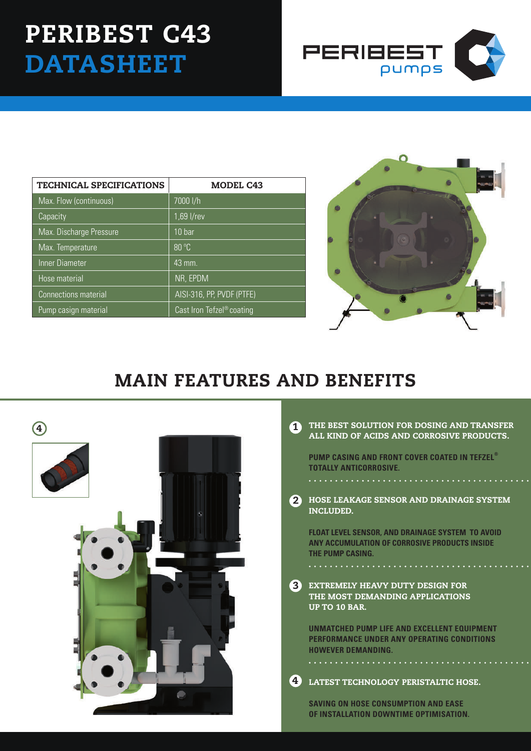## PERIBEST C43 **DATASHEET**



| <b>TECHNICAL SPECIFICATIONS</b> | <b>MODEL C43</b>                      |
|---------------------------------|---------------------------------------|
| Max. Flow (continuous)          | 7000 l/h                              |
| Capacity                        | 1,69 l/rev                            |
| Max. Discharge Pressure         | 10 <sub>bar</sub>                     |
| Max. Temperature                | 80 °C                                 |
| Inner Diameter                  | $43 \text{ mm}$                       |
| Hose material                   | NR, EPDM                              |
| <b>Connections material</b>     | AISI-316, PP, PVDF (PTFE)             |
| Pump casign material            | Cast Iron Tefzel <sup>®</sup> coating |



## MAIN FEATURES AND BENEFITS



|    | THE BEST SOLUTION FOR DOSING AND TRANSFER |
|----|-------------------------------------------|
| ÷. | ALL KIND OF ACIDS AND CORROSIVE PRODUCTS. |

**PUMP CASING AND FRONT COVER COATED IN TEFZEL® TOTALLY ANTICORROSIVE.**

2 HOSE LEAKAGE SENSOR AND DRAINAGE SYSTEM INCLUDED.

**float level sensor, and drainage system to avoid any accumulation of corrosive products inside the pump casing.**

**3** EXTREMELY HEAVY DUTY DESIGN F THE MOST DEMANDING APPLICATIONS UP TO 10 BAR.

**UNMATCHED PUMP LIFE AND EXCELLENT EQUIPMENT PERFORMANCE UNDER ANY OPERATING CONDITIONS HOWEVER DEMANDING.**

LATEST TECHNOLOGY PERISTALTIC HOSE. 4

**SAVING ON HOSE CONSUMPTION AND EASE OF INSTALLATION DOWNTIME OPTIMISATION.**